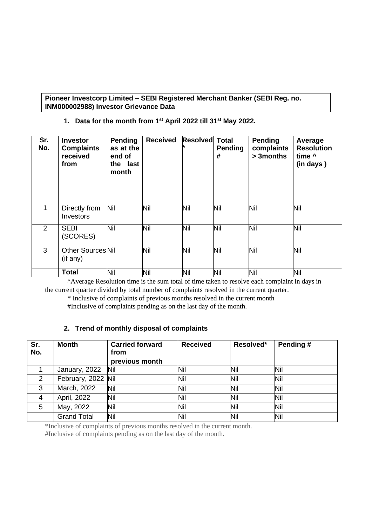**Pioneer Investcorp Limited – SEBI Registered Merchant Banker (SEBI Reg. no. INM000002988) Investor Grievance Data**

**1. Data for the month from 1 st April 2022 till 31 st May 2022.**

| Sr.<br>No.     | <b>Investor</b><br><b>Complaints</b><br>received<br>from | Pending<br>as at the<br>end of<br>the last<br>month | <b>Received</b> | <b>Resolved</b> | <b>Total</b><br><b>Pending</b><br># | Pending<br>complaints<br>> 3 months | Average<br><b>Resolution</b><br>time ^<br>(in days) |
|----------------|----------------------------------------------------------|-----------------------------------------------------|-----------------|-----------------|-------------------------------------|-------------------------------------|-----------------------------------------------------|
| 1              | Directly from<br>Investors                               | Nil                                                 | Nil             | Nil             | Nil                                 | Nil                                 | Nil                                                 |
| $\overline{2}$ | <b>SEBI</b><br>(SCORES)                                  | Nil                                                 | Nil             | Nil             | Nil                                 | Nil                                 | Nil                                                 |
| 3              | <b>Other Sources Nil</b><br>(if any)                     |                                                     | Nil             | Nil             | Nil                                 | Nil                                 | Nil                                                 |
|                | <b>Total</b>                                             | Nil                                                 | Nil             | Nil             | Nil                                 | Nil                                 | Nil                                                 |

 ^Average Resolution time is the sum total of time taken to resolve each complaint in days in the current quarter divided by total number of complaints resolved in the current quarter.

\* Inclusive of complaints of previous months resolved in the current month

#Inclusive of complaints pending as on the last day of the month.

## **2. Trend of monthly disposal of complaints**

| Sr.<br>No.   | <b>Month</b>       | <b>Carried forward</b><br>from<br>previous month | <b>Received</b> | Resolved* | Pending# |
|--------------|--------------------|--------------------------------------------------|-----------------|-----------|----------|
|              | January, 2022      | <b>Nil</b>                                       | Nil             | Nil       | Nil      |
| 2            | February, 2022 Nil |                                                  | Nil             | Nil       | Nil      |
| $\mathbf{3}$ | March, 2022        | Nil                                              | Nil             | Nil       | Nil      |
| 4            | April, 2022        | Nil                                              | Nil             | Nil       | Nil      |
| 5            | May, 2022          | Nil                                              | Nil             | Nil       | Nil      |
|              | <b>Grand Total</b> | Nil                                              | Nil             | Nil       | Nil      |

\*Inclusive of complaints of previous months resolved in the current month. #Inclusive of complaints pending as on the last day of the month.